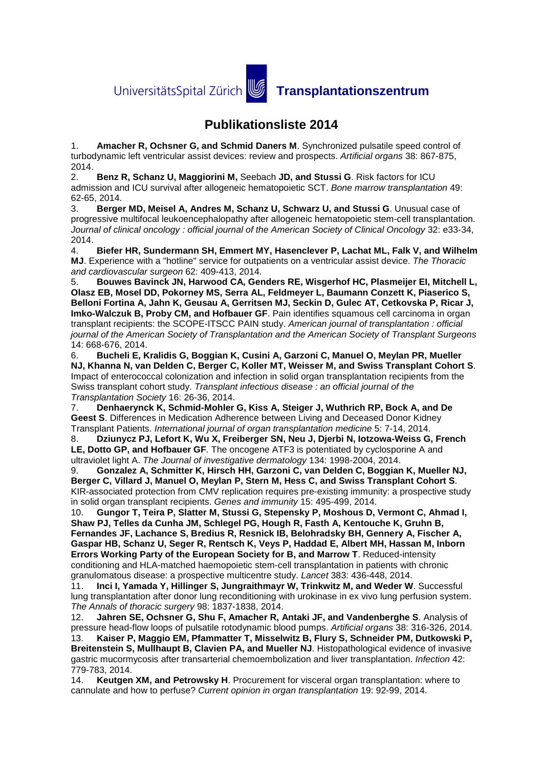UniversitätsSpital Zürich **von Transplantationszentrum** 

## **Publikationsliste 2014**

1. **Amacher R, Ochsner G, and Schmid Daners M**. Synchronized pulsatile speed control of turbodynamic left ventricular assist devices: review and prospects. *Artificial organs* 38: 867-875,  $2014.$ 

2. **Benz R, Schanz U, Maggiorini M,** Seebach **JD, and Stussi G**. Risk factors for ICU admission and ICU survival after allogeneic hematopoietic SCT. *Bone marrow transplantation* 49: 62-65, 2014.

3. **Berger MD, Meisel A, Andres M, Schanz U, Schwarz U, and Stussi G**. Unusual case of progressive multifocal leukoencephalopathy after allogeneic hematopoietic stem-cell transplantation. *Journal of clinical oncology : official journal of the American Society of Clinical Oncology* 32: e33-34, 2014.

4. **Biefer HR, Sundermann SH, Emmert MY, Hasenclever P, Lachat ML, Falk V, and Wilhelm MJ**. Experience with a "hotline" service for outpatients on a ventricular assist device. *The Thoracic and cardiovascular surgeon* 62: 409-413, 2014.

5. **Bouwes Bavinck JN, Harwood CA, Genders RE, Wisgerhof HC, Plasmeijer EI, Mitchell L, Olasz EB, Mosel DD, Pokorney MS, Serra AL, Feldmeyer L, Baumann Conzett K, Piaserico S, Belloni Fortina A, Jahn K, Geusau A, Gerritsen MJ, Seckin D, Gulec AT, Cetkovska P, Ricar J, Imko-Walczuk B, Proby CM, and Hofbauer GF**. Pain identifies squamous cell carcinoma in organ transplant recipients: the SCOPE-ITSCC PAIN study. *American journal of transplantation : official journal of the American Society of Transplantation and the American Society of Transplant Surgeons*  14: 668-676, 2014.

6. **Bucheli E, Kralidis G, Boggian K, Cusini A, Garzoni C, Manuel O, Meylan PR, Mueller NJ, Khanna N, van Delden C, Berger C, Koller MT, Weisser M, and Swiss Transplant Cohort S**. Impact of enterococcal colonization and infection in solid organ transplantation recipients from the Swiss transplant cohort study. *Transplant infectious disease : an official journal of the Transplantation Society* 16: 26-36, 2014.

7. **Denhaerynck K, Schmid-Mohler G, Kiss A, Steiger J, Wuthrich RP, Bock A, and De Geest S**. Differences in Medication Adherence between Living and Deceased Donor Kidney Transplant Patients. *International journal of organ transplantation medicine* 5: 7-14, 2014.

8. **Dziunycz PJ, Lefort K, Wu X, Freiberger SN, Neu J, Djerbi N, Iotzowa-Weiss G, French LE, Dotto GP, and Hofbauer GF**. The oncogene ATF3 is potentiated by cyclosporine A and ultraviolet light A. *The Journal of investigative dermatology* 134: 1998-2004, 2014.

9. **Gonzalez A, Schmitter K, Hirsch HH, Garzoni C, van Delden C, Boggian K, Mueller NJ, Berger C, Villard J, Manuel O, Meylan P, Stern M, Hess C, and Swiss Transplant Cohort S**. KIR-associated protection from CMV replication requires pre-existing immunity: a prospective study in solid organ transplant recipients. *Genes and immunity* 15: 495-499, 2014.

10. **Gungor T, Teira P, Slatter M, Stussi G, Stepensky P, Moshous D, Vermont C, Ahmad I, Shaw PJ, Telles da Cunha JM, Schlegel PG, Hough R, Fasth A, Kentouche K, Gruhn B, Fernandes JF, Lachance S, Bredius R, Resnick IB, Belohradsky BH, Gennery A, Fischer A, Gaspar HB, Schanz U, Seger R, Rentsch K, Veys P, Haddad E, Albert MH, Hassan M, Inborn Errors Working Party of the European Society for B, and Marrow T**. Reduced-intensity conditioning and HLA-matched haemopoietic stem-cell transplantation in patients with chronic granulomatous disease: a prospective multicentre study. *Lancet* 383: 436-448, 2014.

11. **Inci I, Yamada Y, Hillinger S, Jungraithmayr W, Trinkwitz M, and Weder W**. Successful lung transplantation after donor lung reconditioning with urokinase in ex vivo lung perfusion system. *The Annals of thoracic surgery* 98: 1837-1838, 2014.

12. **Jahren SE, Ochsner G, Shu F, Amacher R, Antaki JF, and Vandenberghe S**. Analysis of pressure head-flow loops of pulsatile rotodynamic blood pumps. *Artificial organs* 38: 316-326, 2014. 13. **Kaiser P, Maggio EM, Pfammatter T, Misselwitz B, Flury S, Schneider PM, Dutkowski P, Breitenstein S, Mullhaupt B, Clavien PA, and Mueller NJ**. Histopathological evidence of invasive gastric mucormycosis after transarterial chemoembolization and liver transplantation. *Infection* 42:

779-783, 2014. 14. **Keutgen XM, and Petrowsky H**. Procurement for visceral organ transplantation: where to cannulate and how to perfuse? *Current opinion in organ transplantation* 19: 92-99, 2014.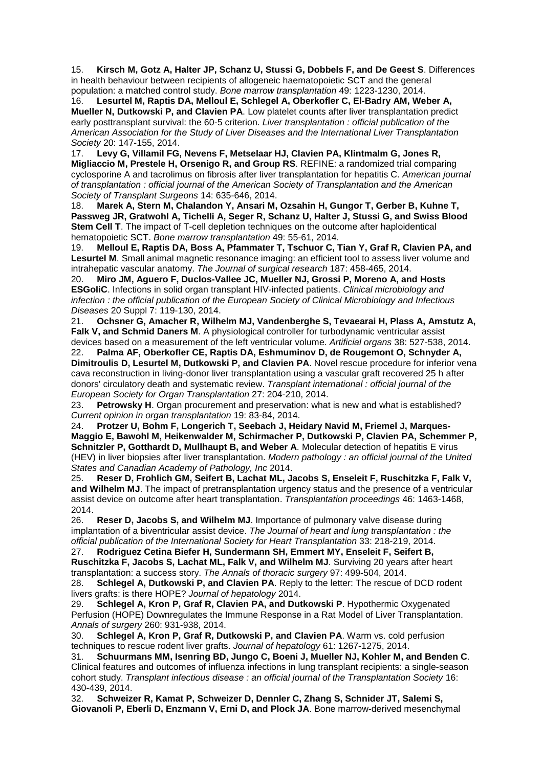15. **Kirsch M, Gotz A, Halter JP, Schanz U, Stussi G, Dobbels F, and De Geest S**. Differences in health behaviour between recipients of allogeneic haematopoietic SCT and the general population: a matched control study. *Bone marrow transplantation* 49: 1223-1230, 2014.

16. **Lesurtel M, Raptis DA, Melloul E, Schlegel A, Oberkofler C, El-Badry AM, Weber A, Mueller N, Dutkowski P, and Clavien PA**. Low platelet counts after liver transplantation predict early posttransplant survival: the 60-5 criterion. *Liver transplantation : official publication of the American Association for the Study of Liver Diseases and the International Liver Transplantation Society* 20: 147-155, 2014.

17. **Levy G, Villamil FG, Nevens F, Metselaar HJ, Clavien PA, Klintmalm G, Jones R, Migliaccio M, Prestele H, Orsenigo R, and Group RS**. REFINE: a randomized trial comparing cyclosporine A and tacrolimus on fibrosis after liver transplantation for hepatitis C. *American journal of transplantation : official journal of the American Society of Transplantation and the American Society of Transplant Surgeons* 14: 635-646, 2014.

18. **Marek A, Stern M, Chalandon Y, Ansari M, Ozsahin H, Gungor T, Gerber B, Kuhne T, Passweg JR, Gratwohl A, Tichelli A, Seger R, Schanz U, Halter J, Stussi G, and Swiss Blood Stem Cell T**. The impact of T-cell depletion techniques on the outcome after haploidentical hematopoietic SCT. *Bone marrow transplantation* 49: 55-61, 2014.

19. **Melloul E, Raptis DA, Boss A, Pfammater T, Tschuor C, Tian Y, Graf R, Clavien PA, and Lesurtel M**. Small animal magnetic resonance imaging: an efficient tool to assess liver volume and intrahepatic vascular anatomy. *The Journal of surgical research* 187: 458-465, 2014.

20. **Miro JM, Aguero F, Duclos-Vallee JC, Mueller NJ, Grossi P, Moreno A, and Hosts ESGoIiC**. Infections in solid organ transplant HIV-infected patients. *Clinical microbiology and infection : the official publication of the European Society of Clinical Microbiology and Infectious Diseases* 20 Suppl 7: 119-130, 2014.

21. **Ochsner G, Amacher R, Wilhelm MJ, Vandenberghe S, Tevaearai H, Plass A, Amstutz A, Falk V, and Schmid Daners M**. A physiological controller for turbodynamic ventricular assist devices based on a measurement of the left ventricular volume. *Artificial organs* 38: 527-538, 2014.

22. **Palma AF, Oberkofler CE, Raptis DA, Eshmuminov D, de Rougemont O, Schnyder A, Dimitroulis D, Lesurtel M, Dutkowski P, and Clavien PA**. Novel rescue procedure for inferior vena cava reconstruction in living-donor liver transplantation using a vascular graft recovered 25 h after donors' circulatory death and systematic review. *Transplant international : official journal of the European Society for Organ Transplantation* 27: 204-210, 2014.

23. **Petrowsky H**. Organ procurement and preservation: what is new and what is established? *Current opinion in organ transplantation* 19: 83-84, 2014.

24. **Protzer U, Bohm F, Longerich T, Seebach J, Heidary Navid M, Friemel J, Marques-Maggio E, Bawohl M, Heikenwalder M, Schirmacher P, Dutkowski P, Clavien PA, Schemmer P, Schnitzler P, Gotthardt D, Mullhaupt B, and Weber A**. Molecular detection of hepatitis E virus (HEV) in liver biopsies after liver transplantation. *Modern pathology : an official journal of the United States and Canadian Academy of Pathology, Inc* 2014.

25. **Reser D, Frohlich GM, Seifert B, Lachat ML, Jacobs S, Enseleit F, Ruschitzka F, Falk V,**  and Wilhelm MJ. The impact of pretransplantation urgency status and the presence of a ventricular assist device on outcome after heart transplantation. *Transplantation proceedings* 46: 1463-1468, 2014.

26. **Reser D, Jacobs S, and Wilhelm MJ**. Importance of pulmonary valve disease during implantation of a biventricular assist device. *The Journal of heart and lung transplantation : the official publication of the International Society for Heart Transplantation* 33: 218-219, 2014.

27. **Rodriguez Cetina Biefer H, Sundermann SH, Emmert MY, Enseleit F, Seifert B, Ruschitzka F, Jacobs S, Lachat ML, Falk V, and Wilhelm MJ**. Surviving 20 years after heart transplantation: a success story. *The Annals of thoracic surgery* 97: 499-504, 2014.

28. **Schlegel A, Dutkowski P, and Clavien PA**. Reply to the letter: The rescue of DCD rodent livers grafts: is there HOPE? *Journal of hepatology* 2014.

29. **Schlegel A, Kron P, Graf R, Clavien PA, and Dutkowski P**. Hypothermic Oxygenated Perfusion (HOPE) Downregulates the Immune Response in a Rat Model of Liver Transplantation. *Annals of surgery* 260: 931-938, 2014.

30. **Schlegel A, Kron P, Graf R, Dutkowski P, and Clavien PA**. Warm vs. cold perfusion techniques to rescue rodent liver grafts. *Journal of hepatology* 61: 1267-1275, 2014.

31. **Schuurmans MM, Isenring BD, Jungo C, Boeni J, Mueller NJ, Kohler M, and Benden C**. Clinical features and outcomes of influenza infections in lung transplant recipients: a single-season cohort study. *Transplant infectious disease : an official journal of the Transplantation Society* 16: 430-439, 2014.

32. **Schweizer R, Kamat P, Schweizer D, Dennler C, Zhang S, Schnider JT, Salemi S, Giovanoli P, Eberli D, Enzmann V, Erni D, and Plock JA**. Bone marrow-derived mesenchymal